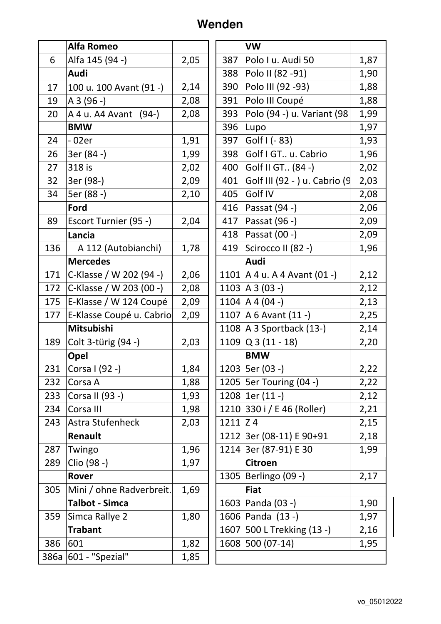## **Wenden**

| Alfa 145 (94 -)<br>2,05<br>1,87<br>6<br>Polo I u. Audi 50<br>387<br>Audi<br>Polo II (82 -91)<br>1,90<br>388<br>Polo III (92 - 93)<br>2,14<br>1,88<br>390<br>17<br>100 u. 100 Avant (91 -)<br>Polo III Coupé<br>2,08<br>1,88<br>A 3 (96 -)<br>391<br>19<br>Polo (94 -) u. Variant (98<br>2,08<br>1,99<br>393<br>20<br>A 4 u. A 4A vant (94-)<br><b>BMW</b><br>1,97<br>396<br>Lupo<br>1,91<br>Golf I (- 83)<br>- 02er<br>397<br>1,93<br>24 |
|------------------------------------------------------------------------------------------------------------------------------------------------------------------------------------------------------------------------------------------------------------------------------------------------------------------------------------------------------------------------------------------------------------------------------------------|
|                                                                                                                                                                                                                                                                                                                                                                                                                                          |
|                                                                                                                                                                                                                                                                                                                                                                                                                                          |
|                                                                                                                                                                                                                                                                                                                                                                                                                                          |
|                                                                                                                                                                                                                                                                                                                                                                                                                                          |
|                                                                                                                                                                                                                                                                                                                                                                                                                                          |
|                                                                                                                                                                                                                                                                                                                                                                                                                                          |
|                                                                                                                                                                                                                                                                                                                                                                                                                                          |
| 3er (84 -)<br>Golf I GT u. Cabrio<br>26<br>1,99<br>1,96<br>398                                                                                                                                                                                                                                                                                                                                                                           |
| 27<br>318 is<br>Golf II GT (84 -)<br>2,02<br>2,02<br>400                                                                                                                                                                                                                                                                                                                                                                                 |
| 32<br>3er (98-)<br>2,09<br>Golf III (92 - ) u. Cabrio (9<br>2,03<br>401                                                                                                                                                                                                                                                                                                                                                                  |
| 34<br>5er (88 -)<br>Golf IV<br>2,10<br>405<br>2,08                                                                                                                                                                                                                                                                                                                                                                                       |
| Passat (94 -)<br>Ford<br>416<br>2,06                                                                                                                                                                                                                                                                                                                                                                                                     |
| 89<br>417<br>Passat (96 -)<br>2,09<br>Escort Turnier (95 -)<br>2,04                                                                                                                                                                                                                                                                                                                                                                      |
| Passat (00 -)<br>2,09<br>418<br>Lancia                                                                                                                                                                                                                                                                                                                                                                                                   |
| 136<br>1,78<br>419<br>Scirocco II (82 -)<br>A 112 (Autobianchi)<br>1,96                                                                                                                                                                                                                                                                                                                                                                  |
| Audi<br><b>Mercedes</b>                                                                                                                                                                                                                                                                                                                                                                                                                  |
| 171<br>2,06<br>1101   A 4 u. A 4 Avant $(01 -)$<br>2,12<br>C-Klasse / W 202 (94 -)                                                                                                                                                                                                                                                                                                                                                       |
| 1103   A 3 (03 -)<br>172<br>C-Klasse / W 203 (00 -)<br>2,08<br>2,12                                                                                                                                                                                                                                                                                                                                                                      |
| 175<br>1104   A 4 (04 -)<br>E-Klasse / W 124 Coupé<br>2,09<br>2,13                                                                                                                                                                                                                                                                                                                                                                       |
| E-Klasse Coupé u. Cabrio<br>1107   A 6 Avant $(11 - )$<br>177<br>2,09<br>2,25                                                                                                                                                                                                                                                                                                                                                            |
| Mitsubishi<br>1108 $A$ 3 Sportback (13-)<br>2,14                                                                                                                                                                                                                                                                                                                                                                                         |
| $1109$ Q 3 (11 - 18)<br>Colt 3-türig (94 -)<br>2,03<br>189<br>2,20                                                                                                                                                                                                                                                                                                                                                                       |
| <b>BMW</b><br>Opel                                                                                                                                                                                                                                                                                                                                                                                                                       |
| 1203   5er (03 -)<br>1,84<br>2,22<br>231<br>Corsa I (92 -)                                                                                                                                                                                                                                                                                                                                                                               |
| 1205   5er Touring (04 -)<br>232<br>1,88<br>2,22<br>Corsa A                                                                                                                                                                                                                                                                                                                                                                              |
| $1208$   1er (11 -)<br>Corsa II (93 -)<br>233<br>1,93<br>2,12                                                                                                                                                                                                                                                                                                                                                                            |
| 1210 330 i / E 46 (Roller)<br>234<br>Corsa III<br>1,98<br>2,21                                                                                                                                                                                                                                                                                                                                                                           |
| Astra Stufenheck<br>243<br>2,03<br>$1211$ $Z$ 4<br>2,15                                                                                                                                                                                                                                                                                                                                                                                  |
| 1212 3er (08-11) E 90+91<br>Renault<br>2,18                                                                                                                                                                                                                                                                                                                                                                                              |
| 1214 3er (87-91) E 30<br>1,96<br>1,99<br>287<br>Twingo                                                                                                                                                                                                                                                                                                                                                                                   |
| Clio (98 -)<br>1,97<br>289<br><b>Citroen</b>                                                                                                                                                                                                                                                                                                                                                                                             |
| 2,17<br>1305   Berlingo (09 -)<br>Rover                                                                                                                                                                                                                                                                                                                                                                                                  |
| 1,69<br>305<br>Mini / ohne Radverbreit.<br><b>Fiat</b>                                                                                                                                                                                                                                                                                                                                                                                   |
| 1,90<br><b>Talbot - Simca</b><br>1603   Panda (03 -)                                                                                                                                                                                                                                                                                                                                                                                     |
| 1606   Panda (13 -)<br>359<br>Simca Rallye 2<br>1,80<br>1,97                                                                                                                                                                                                                                                                                                                                                                             |
| 1607 500 L Trekking (13 -)<br><b>Trabant</b><br>2,16                                                                                                                                                                                                                                                                                                                                                                                     |
| 1608 500 (07-14)<br>386<br>601<br>1,82<br>1,95                                                                                                                                                                                                                                                                                                                                                                                           |
| 601 - "Spezial"<br>1,85<br>386a                                                                                                                                                                                                                                                                                                                                                                                                          |

|      | VW                             |      |
|------|--------------------------------|------|
| 387  | Polo I u. Audi 50              | 1,87 |
| 388  | Polo II (82 -91)               | 1,90 |
| 390  | Polo III (92 - 93)             | 1,88 |
| 391  | Polo III Coupé                 | 1,88 |
| 393  | Polo (94 -) u. Variant (98     | 1,99 |
| 396  | Lupo                           | 1,97 |
| 397  | Golf I (- 83)                  | 1,93 |
| 398  | Golf I GT u. Cabrio            | 1,96 |
| 400  | Golf II GT (84 -)              | 2,02 |
| 401  | Golf III (92 - ) u. Cabrio (9  | 2,03 |
| 405  | Golf IV                        | 2,08 |
| 416  | Passat (94 -)                  | 2,06 |
| 417  | Passat (96 -)                  | 2,09 |
| 418  | Passat (00 -)                  | 2,09 |
| 419  | Scirocco II (82 -)             | 1,96 |
|      | Audi                           |      |
|      | 1101   A 4 u. A 4 Avant (01 -) | 2,12 |
|      | 1103 A 3 (03 -)                | 2,12 |
|      | $1104$ $A(04 -)$               | 2,13 |
|      | 1107   A 6 Avant (11 -)        | 2,25 |
|      | 1108   A 3 Sportback (13-)     | 2,14 |
|      | $1109$ Q 3 (11 - 18)           | 2,20 |
|      | <b>BMW</b>                     |      |
|      | 1203   5er (03 -)              | 2,22 |
|      | 1205   5er Touring (04 -)      | 2,22 |
| 1208 | $ 1er(11 -)$                   | 2,12 |
| 1210 | 330 i / E 46 (Roller)          | 2,21 |
| 1211 | Z <sub>4</sub>                 | 2,15 |
|      | 1212 3er (08-11) E 90+91       | 2,18 |
| 1214 | 3er (87-91) E 30               | 1,99 |
|      | <b>Citroen</b>                 |      |
| 1305 | Berlingo (09 -)                | 2,17 |
|      | <b>Fiat</b>                    |      |
|      | 1603   Panda (03 -)            | 1,90 |
|      | 1606   Panda (13 -)            | 1,97 |
|      | 1607 500 L Trekking (13 -)     | 2,16 |
| 1608 | 500 (07-14)                    | 1,95 |
|      |                                |      |